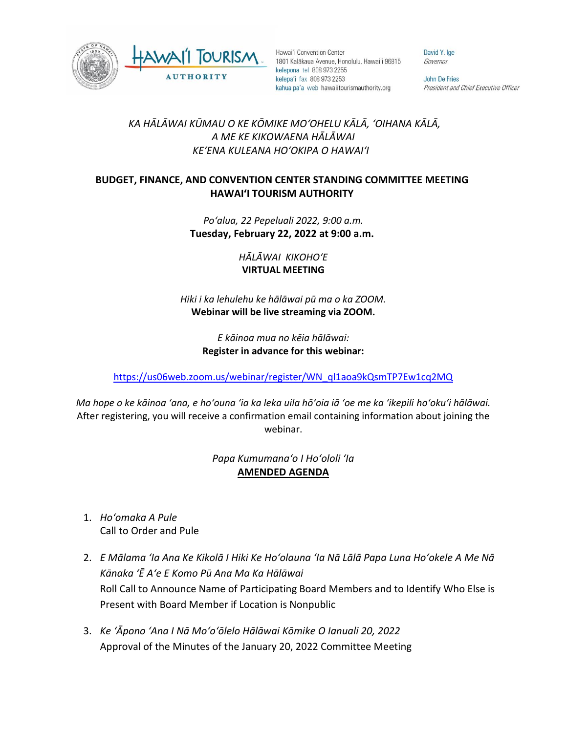



Hawai'i Convention Center 1801 Kalākaua Avenue, Honolulu, Hawai'i 96815 kelepona tel 808 973 2255 kelepa'i fax 808 973 2253 kahua pa'a web hawaiitourismauthority.org

David Y. Ige Governor

**John De Fries** President and Chief Executive Officer

## *KA HĀLĀWAI KŪMAU O KE KŌMIKE MOʻOHELU KĀLĀ, ʻOIHANA KĀLĀ, A ME KE KIKOWAENA HĀLĀWAI KEʻENA KULEANA HOʻOKIPA O HAWAIʻI*

## **BUDGET, FINANCE, AND CONVENTION CENTER STANDING COMMITTEE MEETING HAWAI'I TOURISM AUTHORITY**

*Poʻalua, 22 Pepeluali 2022, 9:00 a.m.* **Tuesday, February 22, 2022 at 9:00 a.m.**

> *HĀLĀWAI KIKOHOʻE* **VIRTUAL MEETING**

*Hiki i ka lehulehu ke hālāwai pū ma o ka ZOOM.*  **Webinar will be live streaming via ZOOM.**

> *E kāinoa mua no kēia hālāwai:* **Register in advance for this webinar:**

[https://us06web.zoom.us/webinar/register/WN\\_ql1aoa9kQsmTP7Ew1cq2MQ](https://us06web.zoom.us/webinar/register/WN_ql1aoa9kQsmTP7Ew1cq2MQ)

*Ma hope o ke kāinoa ʻana, e hoʻouna ʻia ka leka uila hōʻoia iā ʻoe me ka ʻikepili hoʻokuʻi hālāwai.* After registering, you will receive a confirmation email containing information about joining the webinar.

> *Papa Kumumanaʻo I Hoʻololi ʻIa* **AMENDED AGENDA**

- 1. *Hoʻomaka A Pule* Call to Order and Pule
- 2. *E Mālama ʻIa Ana Ke Kikolā I Hiki Ke Hoʻolauna ʻIa Nā Lālā Papa Luna Hoʻokele A Me Nā Kānaka ʻĒ Aʻe E Komo Pū Ana Ma Ka Hālāwai* Roll Call to Announce Name of Participating Board Members and to Identify Who Else is Present with Board Member if Location is Nonpublic
- 3. *Ke ʻĀpono ʻAna I Nā Moʻoʻōlelo Hālāwai Kōmike O Ianuali 20, 2022* Approval of the Minutes of the January 20, 2022 Committee Meeting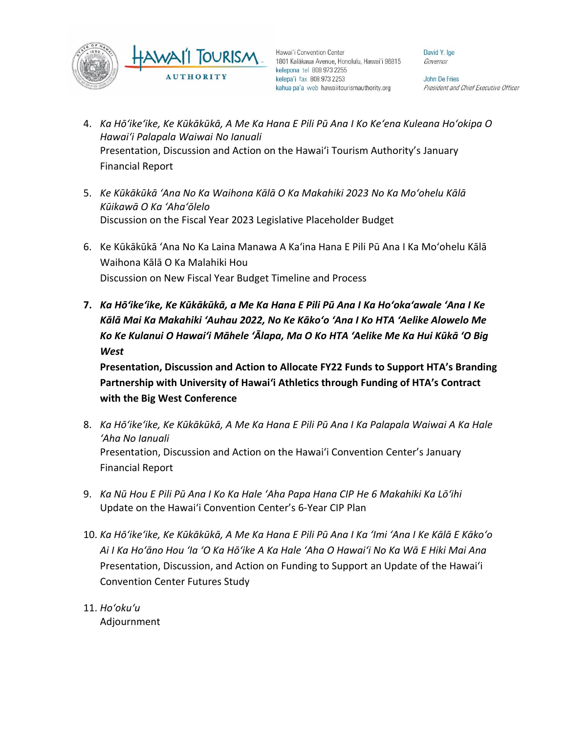



Hawai'i Convention Center 1801 Kalākaua Avenue, Honolulu, Hawai'i 96815 kelepona tel 808 973 2255 kelepa'i fax 808 973 2253 kahua pa'a web hawaiitourismauthority.org

David Y. Ige Governor

**John De Fries** President and Chief Executive Officer

- 4. *Ka Hōʻikeʻike, Ke Kūkākūkā, A Me Ka Hana E Pili Pū Ana I Ko Keʻena Kuleana Hoʻokipa O Hawaiʻi Palapala Waiwai No Ianuali* Presentation, Discussion and Action on the Hawai'i Tourism Authority's January Financial Report
- 5. *Ke Kūkākūkā ʻAna No Ka Waihona Kālā O Ka Makahiki 2023 No Ka Moʻohelu Kālā Kūikawā O Ka ʻAhaʻōlelo* Discussion on the Fiscal Year 2023 Legislative Placeholder Budget
- 6. Ke Kūkākūkā ʻAna No Ka Laina Manawa A Kaʻina Hana E Pili Pū Ana I Ka Moʻohelu Kālā Waihona Kālā O Ka Malahiki Hou Discussion on New Fiscal Year Budget Timeline and Process
- **7.** *Ka Hōʻikeʻike, Ke Kūkākūkā, a Me Ka Hana E Pili Pū Ana I Ka Hoʻokaʻawale ʻAna I Ke Kālā Mai Ka Makahiki ʻAuhau 2022, No Ke Kākoʻo ʻAna I Ko HTA ʻAelike Alowelo Me Ko Ke Kulanui O Hawaiʻi Māhele ʻĀlapa, Ma O Ko HTA ʻAelike Me Ka Hui Kūkā ʻO Big West*

**Presentation, Discussion and Action to Allocate FY22 Funds to Support HTA's Branding Partnership with University of Hawaiʻi Athletics through Funding of HTA's Contract with the Big West Conference**

- 8. *Ka Hōʻikeʻike, Ke Kūkākūkā, A Me Ka Hana E Pili Pū Ana I Ka Palapala Waiwai A Ka Hale ʻAha No Ianuali* Presentation, Discussion and Action on the Hawai'i Convention Center's January Financial Report
- 9. *Ka Nū Hou E Pili Pū Ana I Ko Ka Hale ʻAha Papa Hana CIP He 6 Makahiki Ka Lōʻihi* Update on the Hawai'i Convention Center's 6-Year CIP Plan
- 10. *Ka Hōʻikeʻike, Ke Kūkākūkā, A Me Ka Hana E Pili Pū Ana I Ka ʻImi ʻAna I Ke Kālā E Kākoʻo Ai I Ka Hoʻāno Hou ʻIa ʻO Ka Hōʻike A Ka Hale ʻAha O Hawaiʻi No Ka Wā E Hiki Mai Ana* Presentation, Discussion, and Action on Funding to Support an Update of the Hawai'i Convention Center Futures Study
- 11. *Hoʻokuʻu* Adjournment